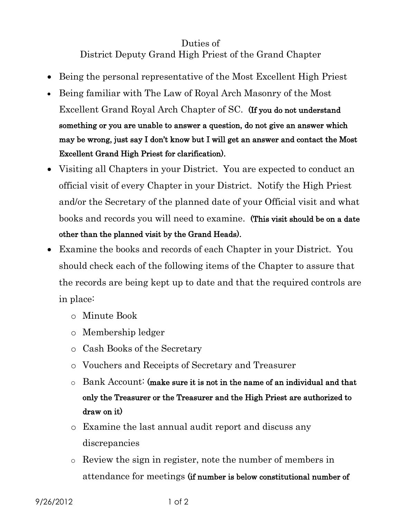## Duties of District Deputy Grand High Priest of the Grand Chapter

- Being the personal representative of the Most Excellent High Priest
- Being familiar with The Law of Royal Arch Masonry of the Most Excellent Grand Royal Arch Chapter of SC. (If you do not understand something or you are unable to answer a question, do not give an answer which may be wrong, just say I don't know but I will get an answer and contact the Most Excellent Grand High Priest for clarification).
- Visiting all Chapters in your District. You are expected to conduct an official visit of every Chapter in your District. Notify the High Priest and/or the Secretary of the planned date of your Official visit and what books and records you will need to examine. (This visit should be on a date other than the planned visit by the Grand Heads).
- Examine the books and records of each Chapter in your District. You should check each of the following items of the Chapter to assure that the records are being kept up to date and that the required controls are in place:
	- o Minute Book
	- o Membership ledger
	- o Cash Books of the Secretary
	- o Vouchers and Receipts of Secretary and Treasurer
	- $\circ$  Bank Account: (make sure it is not in the name of an individual and that only the Treasurer or the Treasurer and the High Priest are authorized to draw on it)
	- o Examine the last annual audit report and discuss any discrepancies
	- o Review the sign in register, note the number of members in attendance for meetings (if number is below constitutional number of